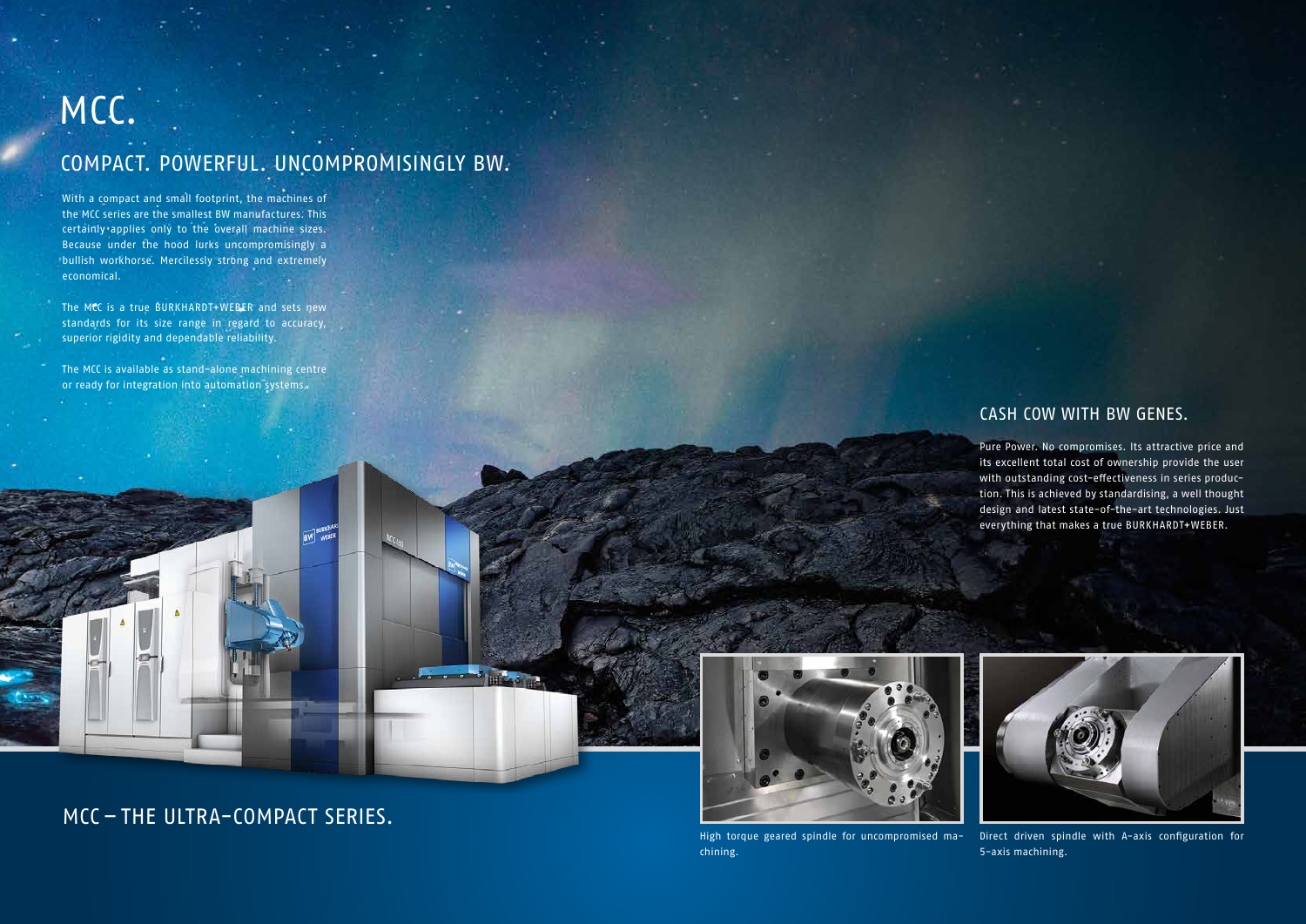With a compact and small footprint, the machines of the MCC series are the smallest BW manufactures. This certainly applies only to the overall machine sizes. Because under the hood lurks uncompromisingly a bullish workhorse. Mercilessly strong and extremely economical.

The MCC is a true BURKHARDT+WEBER and sets new standards for its size range in regard to accuracy, superior rigidity and dependable reliability.

The MCC is available as stand-alone machining centre or ready for integration into automation systems.

## MCC.

## COMPACT. POWERFUL. UNCOMPROMISINGLY BW.

### CASH COW WITH BW GENES.

Pure Power. No compromises. Its attractive price and its excellent total cost of ownership provide the user with outstanding cost-effectiveness in series production. This is achieved by standardising, a well thought design and latest state-of-the-art technologies. Just everything that makes a true BURKHARDT+WEBER.



Direct driven spindle with A-axis configuration for 5-axis machining.

### MCC – THE ULTRA-COMPACT SERIES.